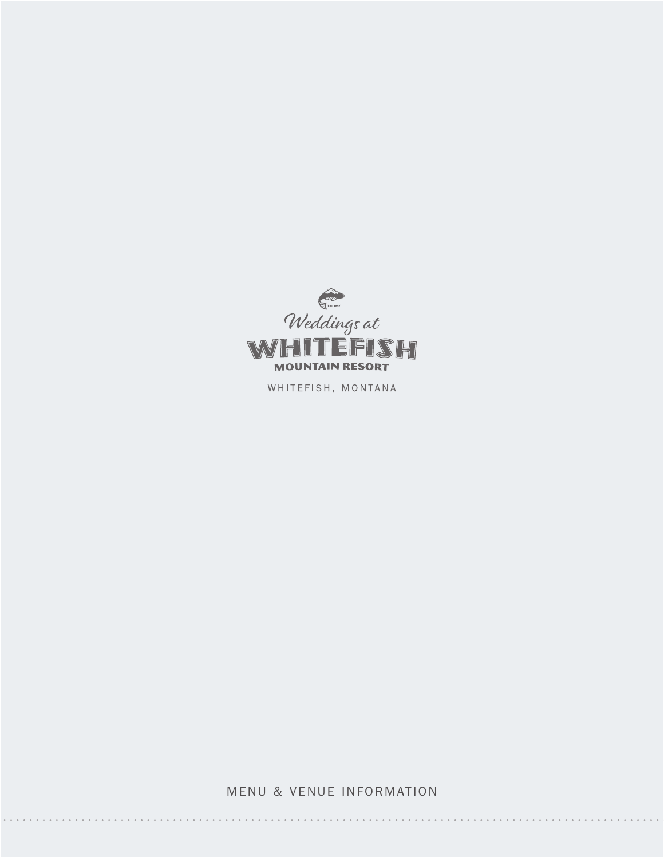

WHITEFISH, MONTANA

MENU & VENUE INFORMATION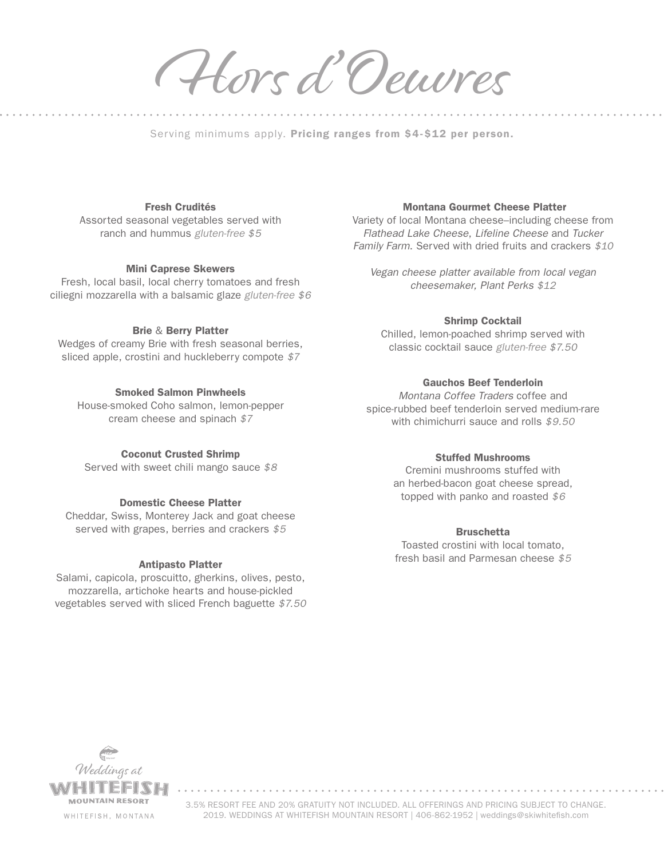Hors d 'Oeuvres

Serving minimums apply. Pricing ranges from \$4-\$12 per person.

### Fresh Crudités

Assorted seasonal vegetables served with ranch and hummus *gluten-free \$5*

### Mini Caprese Skewers

Fresh, local basil, local cherry tomatoes and fresh ciliegni mozzarella with a balsamic glaze *gluten-free \$6*

### Brie & Berry Platter

Wedges of creamy Brie with fresh seasonal berries, sliced apple, crostini and huckleberry compote *\$7*

### Smoked Salmon Pinwheels

House-smoked Coho salmon, lemon-pepper cream cheese and spinach *\$7*

### Coconut Crusted Shrimp

Served with sweet chili mango sauce *\$8*

#### Domestic Cheese Platter

Cheddar, Swiss, Monterey Jack and goat cheese served with grapes, berries and crackers *\$5*

### Antipasto Platter

Salami, capicola, proscuitto, gherkins, olives, pesto, mozzarella, artichoke hearts and house-pickled vegetables served with sliced French baguette *\$7.50*

### Montana Gourmet Cheese Platter

Variety of local Montana cheese–including cheese from *Flathead Lake Cheese*, *Lifeline Cheese* and *Tucker Family Farm*. Served with dried fruits and crackers *\$10*

*Vegan cheese platter available from local vegan cheesemaker, Plant Perks \$12*

### Shrimp Cocktail

Chilled, lemon-poached shrimp served with classic cocktail sauce *gluten-free \$7.50*

### Gauchos Beef Tenderloin

*Montana Coffee Traders* coffee and spice-rubbed beef tenderloin served medium-rare with chimichurri sauce and rolls *\$9.50*

### Stuffed Mushrooms

Cremini mushrooms stuffed with an herbed-bacon goat cheese spread, topped with panko and roasted *\$6*

### **Bruschetta**

Toasted crostini with local tomato, fresh basil and Parmesan cheese *\$5*

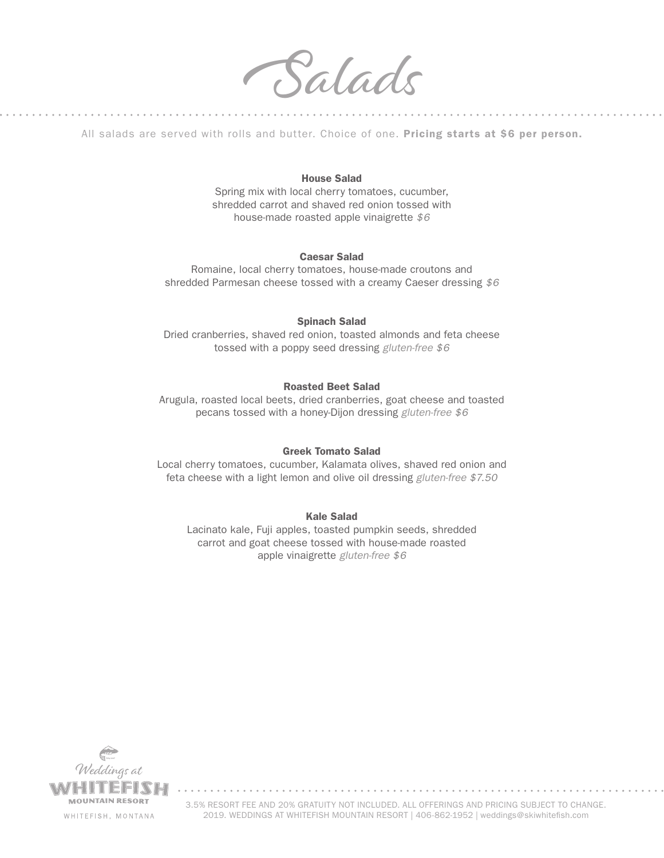Salads

All salads are served with rolls and butter. Choice of one. Pricing starts at \$6 per person.

### House Salad

Spring mix with local cherry tomatoes, cucumber, shredded carrot and shaved red onion tossed with house-made roasted apple vinaigrette *\$6*

### Caesar Salad

Romaine, local cherry tomatoes, house-made croutons and shredded Parmesan cheese tossed with a creamy Caeser dressing *\$6*

### Spinach Salad

Dried cranberries, shaved red onion, toasted almonds and feta cheese tossed with a poppy seed dressing *gluten-free \$6*

### Roasted Beet Salad

Arugula, roasted local beets, dried cranberries, goat cheese and toasted pecans tossed with a honey-Dijon dressing *gluten-free \$6*

### Greek Tomato Salad

Local cherry tomatoes, cucumber, Kalamata olives, shaved red onion and feta cheese with a light lemon and olive oil dressing *gluten-free \$7.50*

### Kale Salad

Lacinato kale, Fuji apples, toasted pumpkin seeds, shredded carrot and goat cheese tossed with house-made roasted apple vinaigrette *gluten-free \$6*

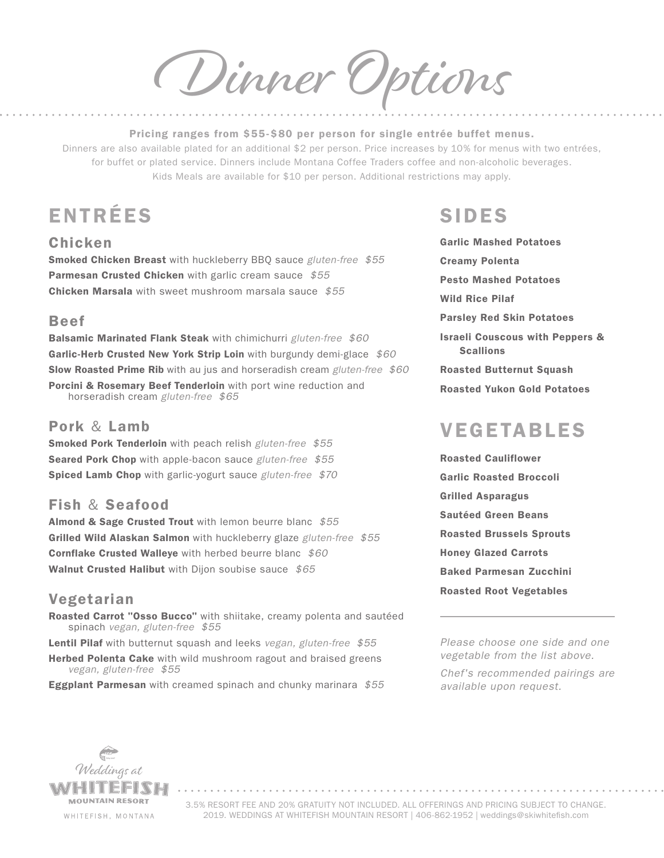Dinner Options

#### Pricing ranges from \$55-\$80 per person for single entrée buffet menus.

Dinners are also available plated for an additional \$2 per person. Price increases by 10% for menus with two entrées, for buffet or plated service. Dinners include Montana Coffee Traders coffee and non-alcoholic beverages. Kids Meals are available for \$10 per person. Additional restrictions may apply.

# ENTRÉES SIDES

# Chicken

Smoked Chicken Breast with huckleberry BBQ sauce *gluten-free \$55* Parmesan Crusted Chicken with garlic cream sauce *\$55* Chicken Marsala with sweet mushroom marsala sauce *\$55*

# Beef

Balsamic Marinated Flank Steak with chimichurri *gluten-free \$60* Garlic-Herb Crusted New York Strip Loin with burgundy demi-glace *\$60* Slow Roasted Prime Rib with au jus and horseradish cream *gluten-free \$60* Porcini & Rosemary Beef Tenderloin with port wine reduction and horseradish cream *gluten-free \$65*

# Pork & Lamb

Smoked Pork Tenderloin with peach relish *gluten-free \$55* Seared Pork Chop with apple-bacon sauce *gluten-free \$55* Spiced Lamb Chop with garlic-yogurt sauce *gluten-free \$70*

# Fish & Seafood

Almond & Sage Crusted Trout with lemon beurre blanc *\$55* Grilled Wild Alaskan Salmon with huckleberry glaze *gluten-free \$55* Cornflake Crusted Walleye with herbed beurre blanc *\$60* Walnut Crusted Halibut with Dijon soubise sauce *\$65*

# Vegetarian

Roasted Carrot "Osso Bucco" with shiitake, creamy polenta and sautéed spinach *vegan, gluten-free \$55*

Lentil Pilaf with butternut squash and leeks *vegan, gluten-free \$55*

Herbed Polenta Cake with wild mushroom ragout and braised greens *vegan, gluten-free \$55*

Eggplant Parmesan with creamed spinach and chunky marinara *\$55*

Garlic Mashed Potatoes Creamy Polenta Pesto Mashed Potatoes Wild Rice Pilaf Parsley Red Skin Potatoes Israeli Couscous with Peppers & Scallions Roasted Butternut Squash Roasted Yukon Gold Potatoes

# VEGETABLES

Roasted Cauliflower Garlic Roasted Broccoli Grilled Asparagus Sautéed Green Beans Roasted Brussels Sprouts Honey Glazed Carrots Baked Parmesan Zucchini Roasted Root Vegetables

*Please choose one side and one vegetable from the list above.* 

*Chef's recommended pairings are available upon request.*

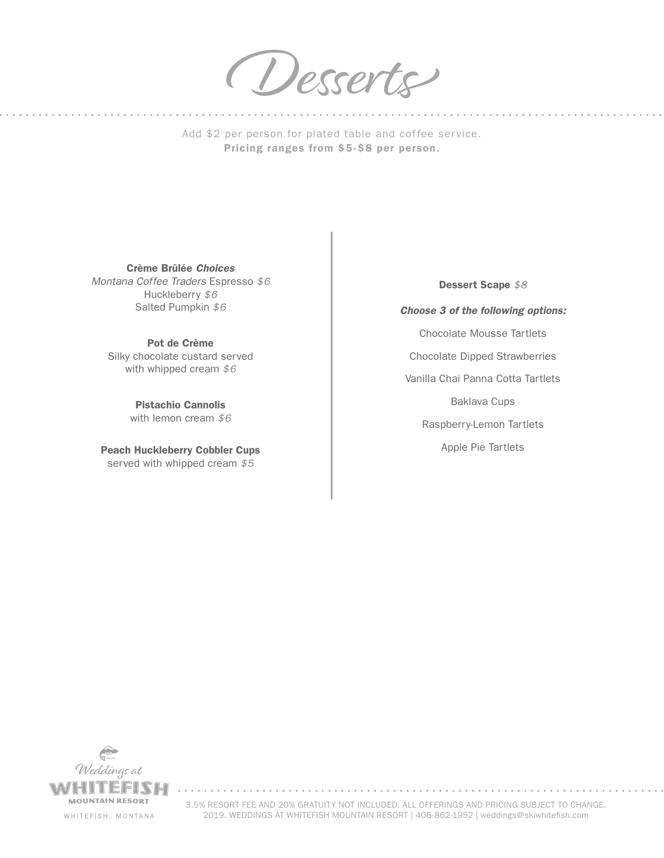Desserts

Add \$2 per person for plated table and coffee service. Pricing ranges from \$5-\$8 per person.

Crème Brûlée *Choices Montana Coffee Traders* Espresso *\$6* Huckleberry *\$6* Salted Pumpkin *\$6*

Pot de Crème Silky chocolate custard served with whipped cream *\$6*

> Pistachio Cannolis with lemon cream *\$6*

Peach Huckleberry Cobbler Cups served with whipped cream *\$5*

*Choose 3 of the following options:* Chocolate Mousse Tartlets Chocolate Dipped Strawberries Vanilla Chai Panna Cotta Tartlets Baklava Cups Raspberry-Lemon Tartlets Apple Pie Tartlets

Dessert Scape *\$8*



3.5% RESORT FEE AND 20% GRATUITY NOT INCLUDED. ALL OFFERINGS AND PRICING SUBJECT TO CHANGE. 2019. WEDDINGS AT WHITEFISH MOUNTAIN RESORT | 406-862-1952 | weddings@skiwhitefish.com

. . . . . . . . . . . . . . . . . . . .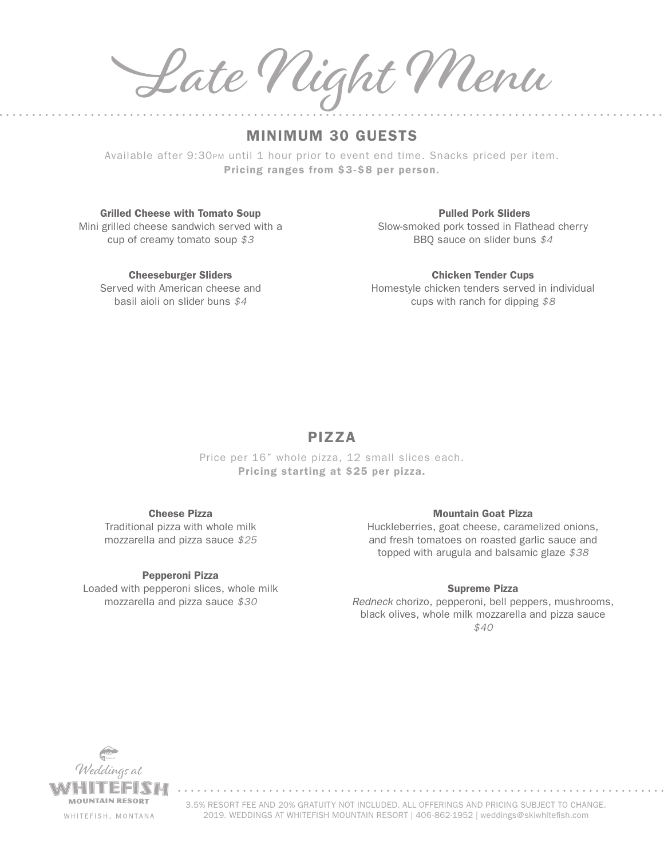Late Night Menu

# MINIMUM 30 GUESTS

Available after 9:30pm until 1 hour prior to event end time. Snacks priced per item. Pricing ranges from \$3-\$8 per person.

Grilled Cheese with Tomato Soup Mini grilled cheese sandwich served with a cup of creamy tomato soup *\$3*

> Cheeseburger Sliders Served with American cheese and basil aioli on slider buns *\$4*

Pulled Pork Sliders Slow-smoked pork tossed in Flathead cherry BBQ sauce on slider buns *\$4*

Chicken Tender Cups Homestyle chicken tenders served in individual cups with ranch for dipping *\$8*

# PIZZA

Price per 16" whole pizza, 12 small slices each. Pricing starting at \$25 per pizza.

### Cheese Pizza

Traditional pizza with whole milk mozzarella and pizza sauce *\$25*

### Pepperoni Pizza

Loaded with pepperoni slices, whole milk mozzarella and pizza sauce *\$30*

### Mountain Goat Pizza

Huckleberries, goat cheese, caramelized onions, and fresh tomatoes on roasted garlic sauce and topped with arugula and balsamic glaze *\$38*

### Supreme Pizza

*Redneck* chorizo, pepperoni, bell peppers, mushrooms, black olives, whole milk mozzarella and pizza sauce *\$40*

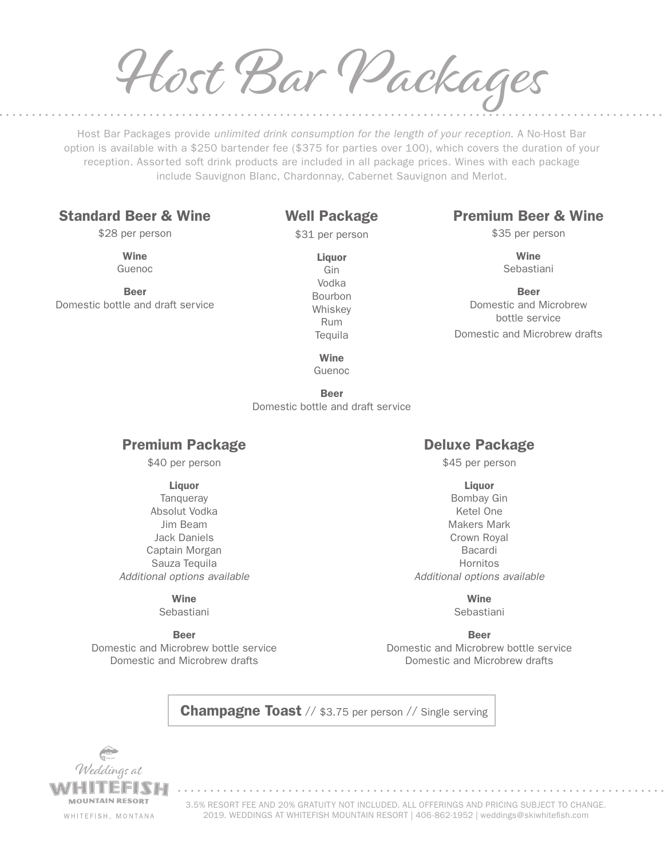Host Bar Packages

Host Bar Packages provide *unlimited drink consumption for the length of your reception*. A No-Host Bar option is available with a \$250 bartender fee (\$375 for parties over 100), which covers the duration of your reception. Assorted soft drink products are included in all package prices. Wines with each package include Sauvignon Blanc, Chardonnay, Cabernet Sauvignon and Merlot.

# Standard Beer & Wine

\$28 per person

Wine Guenoc

Beer Domestic bottle and draft service

# Well Package

\$31 per person

Liquor Gin Vodka Bourbon Whiskey Rum **Tequila** 

# Premium Beer & Wine

\$35 per person

**Wine** Sebastiani

Beer Domestic and Microbrew bottle service Domestic and Microbrew drafts

Wine Guenoc

Beer Domestic bottle and draft service

# Premium Package

\$40 per person

### Liquor

**Tanqueray** Absolut Vodka Jim Beam Jack Daniels Captain Morgan Sauza Tequila *Additional options available*

### Wine

Sebastiani

Beer Domestic and Microbrew bottle service Domestic and Microbrew drafts

# Deluxe Package

\$45 per person

- **Liquor**
- Bombay Gin Ketel One Makers Mark Crown Royal Bacardi Hornitos *Additional options available*

Wine Sebastiani

Beer Domestic and Microbrew bottle service Domestic and Microbrew drafts

**Champagne Toast** // \$3.75 per person // Single serving

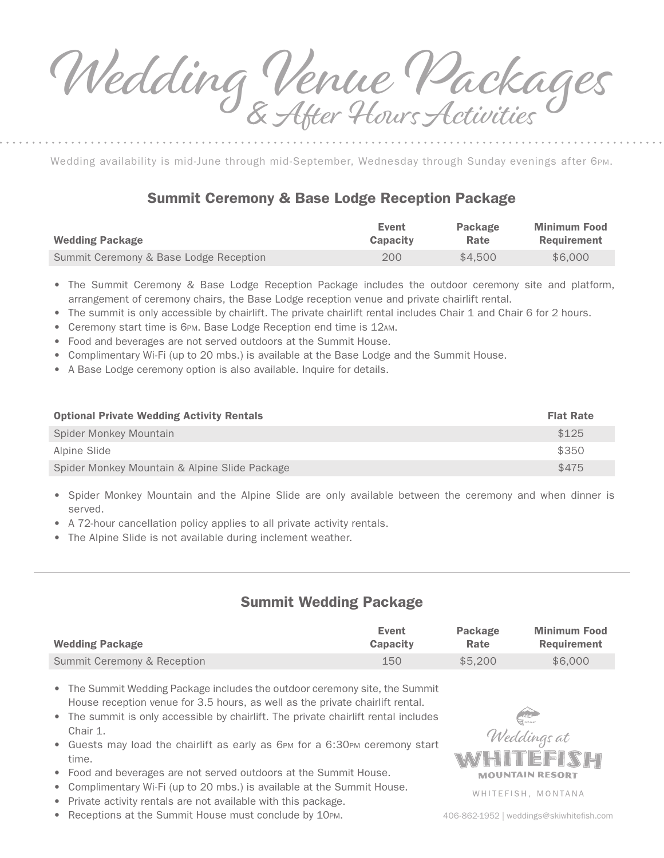Wedding Venue Packages After Hours Activities

Wedding availability is mid-June through mid-September, Wednesday through Sunday evenings after 6pm.

# Summit Ceremony & Base Lodge Reception Package

| <b>Wedding Package</b>                 | Event           | Package | <b>Minimum Food</b> |
|----------------------------------------|-----------------|---------|---------------------|
|                                        | <b>Capacity</b> | Rate    | Requirement         |
| Summit Ceremony & Base Lodge Reception | 200             | \$4.500 | \$6,000             |

- The Summit Ceremony & Base Lodge Reception Package includes the outdoor ceremony site and platform, arrangement of ceremony chairs, the Base Lodge reception venue and private chairlift rental.
- The summit is only accessible by chairlift. The private chairlift rental includes Chair 1 and Chair 6 for 2 hours.
- Ceremony start time is 6PM. Base Lodge Reception end time is 12AM.
- Food and beverages are not served outdoors at the Summit House.
- Complimentary Wi-Fi (up to 20 mbs.) is available at the Base Lodge and the Summit House.
- A Base Lodge ceremony option is also available. Inquire for details.

| <b>Optional Private Wedding Activity Rentals</b> | <b>Flat Rate</b> |
|--------------------------------------------------|------------------|
| Spider Monkey Mountain                           | \$125            |
| Alpine Slide                                     | \$350            |
| Spider Monkey Mountain & Alpine Slide Package    | \$475            |

- Spider Monkey Mountain and the Alpine Slide are only available between the ceremony and when dinner is served.
- A 72-hour cancellation policy applies to all private activity rentals.
- The Alpine Slide is not available during inclement weather.

# Summit Wedding Package

| <b>Wedding Package</b>      | Event           | Package | <b>Minimum Food</b> |
|-----------------------------|-----------------|---------|---------------------|
|                             | <b>Capacity</b> | Rate    | Requirement         |
| Summit Ceremony & Reception | 150             | \$5.200 | \$6,000             |

• The Summit Wedding Package includes the outdoor ceremony site, the Summit House reception venue for 3.5 hours, as well as the private chairlift rental.

- The summit is only accessible by chairlift. The private chairlift rental includes Chair 1.
- Guests may load the chairlift as early as 6pm for a 6:30pm ceremony start time.
- Food and beverages are not served outdoors at the Summit House.
- Complimentary Wi-Fi (up to 20 mbs.) is available at the Summit House.
- Private activity rentals are not available with this package.
- Receptions at the Summit House must conclude by 10PM.



WHITEFISH, MONTANA

406-862-1952 | weddings@skiwhitefish.com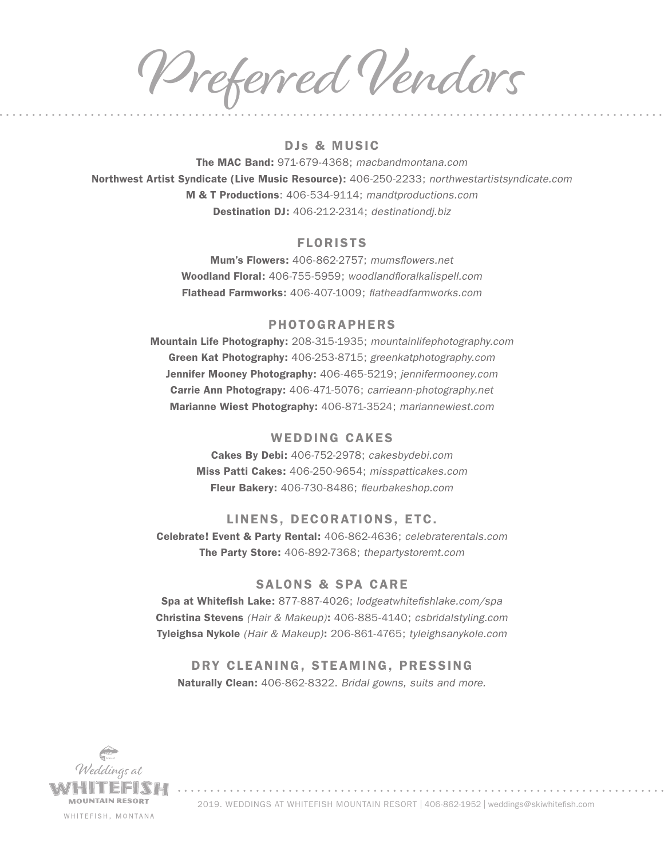Preferred Vendors

## DJs & MUSIC

The MAC Band: 971-679-4368; *macbandmontana.com* Northwest Artist Syndicate (Live Music Resource): 406-250-2233; *northwestartistsyndicate.com* M & T Productions: 406-534-9114; *mandtproductions.com* Destination DJ: 406-212-2314; *destinationdj.biz*

### FLORISTS

Mum's Flowers: 406-862-2757; *mumsflowers.net*  Woodland Floral: 406-755-5959; *woodlandfloralkalispell.com* Flathead Farmworks: 406-407-1009; *flatheadfarmworks.com*

### PHOTOGRAPHERS

Mountain Life Photography: 208-315-1935; *mountainlifephotography.com* Green Kat Photography: 406-253-8715; *greenkatphotography.com* Jennifer Mooney Photography: 406-465-5219; *jennifermooney.com* Carrie Ann Photograpy: 406-471-5076; *carrieann-photography.net*  Marianne Wiest Photography: 406-871-3524; *mariannewiest.com*

### WEDDING CAKES

Cakes By Debi: 406-752-2978; *cakesbydebi.com* Miss Patti Cakes: 406-250-9654; *misspatticakes.com* Fleur Bakery: 406-730-8486; *fleurbakeshop.com*

### LINENS, DECORATIONS, ETC.

Celebrate! Event & Party Rental: 406-862-4636; *celebraterentals.com*  The Party Store: 406-892-7368; *thepartystoremt.com*

### SALONS & SPA CARE

Spa at Whitefish Lake: 877-887-4026; *lodgeatwhitefishlake.com/spa* Christina Stevens *(Hair & Makeup)*: 406-885-4140; *csbridalstyling.com*  Tyleighsa Nykole *(Hair & Makeup)*: 206-861-4765; *tyleighsanykole.com*

DRY CLEANING, STEAMING, PRESSING Naturally Clean: 406-862-8322. *Bridal gowns, suits and more.*



2019. WEDDINGS AT WHITEFISH MOUNTAIN RESORT | 406-862-1952 | weddings@skiwhitefish.com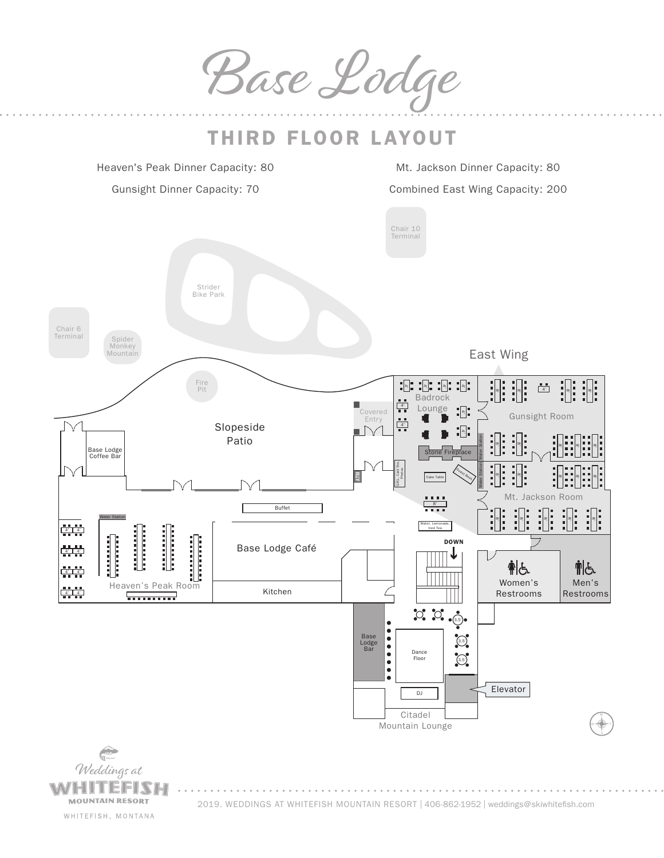Base Lodge



WHITEFISH, MONTANA

2019. WEDDINGS AT WHITEFISH MOUNTAIN RESORT | 406-862-1952 | weddings@skiwhitefish.com